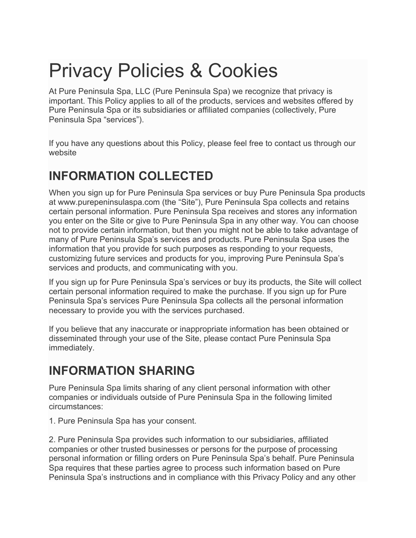# Privacy Policies & Cookies

At Pure Peninsula Spa, LLC (Pure Peninsula Spa) we recognize that privacy is important. This Policy applies to all of the products, services and websites offered by Pure Peninsula Spa or its subsidiaries or affiliated companies (collectively, Pure Peninsula Spa "services").

If you have any questions about this Policy, please feel free to contact us through our website

#### **INFORMATION COLLECTED**

When you sign up for Pure Peninsula Spa services or buy Pure Peninsula Spa products at www.purepeninsulaspa.com (the "Site"), Pure Peninsula Spa collects and retains certain personal information. Pure Peninsula Spa receives and stores any information you enter on the Site or give to Pure Peninsula Spa in any other way. You can choose not to provide certain information, but then you might not be able to take advantage of many of Pure Peninsula Spa's services and products. Pure Peninsula Spa uses the information that you provide for such purposes as responding to your requests, customizing future services and products for you, improving Pure Peninsula Spa's services and products, and communicating with you.

If you sign up for Pure Peninsula Spa's services or buy its products, the Site will collect certain personal information required to make the purchase. If you sign up for Pure Peninsula Spa's services Pure Peninsula Spa collects all the personal information necessary to provide you with the services purchased.

If you believe that any inaccurate or inappropriate information has been obtained or disseminated through your use of the Site, please contact Pure Peninsula Spa immediately.

#### **INFORMATION SHARING**

Pure Peninsula Spa limits sharing of any client personal information with other companies or individuals outside of Pure Peninsula Spa in the following limited circumstances:

1. Pure Peninsula Spa has your consent.

2. Pure Peninsula Spa provides such information to our subsidiaries, affiliated companies or other trusted businesses or persons for the purpose of processing personal information or filling orders on Pure Peninsula Spa's behalf. Pure Peninsula Spa requires that these parties agree to process such information based on Pure Peninsula Spa's instructions and in compliance with this Privacy Policy and any other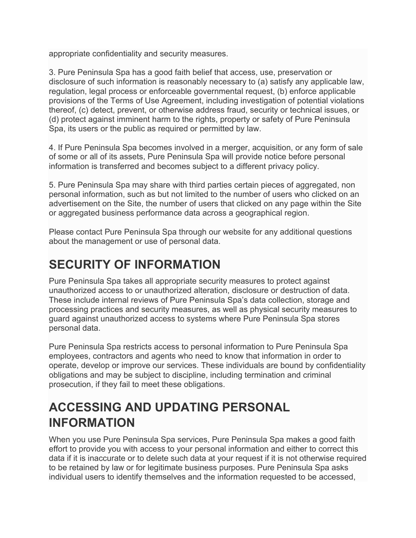appropriate confidentiality and security measures.

3. Pure Peninsula Spa has a good faith belief that access, use, preservation or disclosure of such information is reasonably necessary to (a) satisfy any applicable law, regulation, legal process or enforceable governmental request, (b) enforce applicable provisions of the Terms of Use Agreement, including investigation of potential violations thereof, (c) detect, prevent, or otherwise address fraud, security or technical issues, or (d) protect against imminent harm to the rights, property or safety of Pure Peninsula Spa, its users or the public as required or permitted by law.

4. If Pure Peninsula Spa becomes involved in a merger, acquisition, or any form of sale of some or all of its assets, Pure Peninsula Spa will provide notice before personal information is transferred and becomes subject to a different privacy policy.

5. Pure Peninsula Spa may share with third parties certain pieces of aggregated, non personal information, such as but not limited to the number of users who clicked on an advertisement on the Site, the number of users that clicked on any page within the Site or aggregated business performance data across a geographical region.

Please contact Pure Peninsula Spa through our website for any additional questions about the management or use of personal data.

#### **SECURITY OF INFORMATION**

Pure Peninsula Spa takes all appropriate security measures to protect against unauthorized access to or unauthorized alteration, disclosure or destruction of data. These include internal reviews of Pure Peninsula Spa's data collection, storage and processing practices and security measures, as well as physical security measures to guard against unauthorized access to systems where Pure Peninsula Spa stores personal data.

Pure Peninsula Spa restricts access to personal information to Pure Peninsula Spa employees, contractors and agents who need to know that information in order to operate, develop or improve our services. These individuals are bound by confidentiality obligations and may be subject to discipline, including termination and criminal prosecution, if they fail to meet these obligations.

#### **ACCESSING AND UPDATING PERSONAL INFORMATION**

When you use Pure Peninsula Spa services, Pure Peninsula Spa makes a good faith effort to provide you with access to your personal information and either to correct this data if it is inaccurate or to delete such data at your request if it is not otherwise required to be retained by law or for legitimate business purposes. Pure Peninsula Spa asks individual users to identify themselves and the information requested to be accessed,